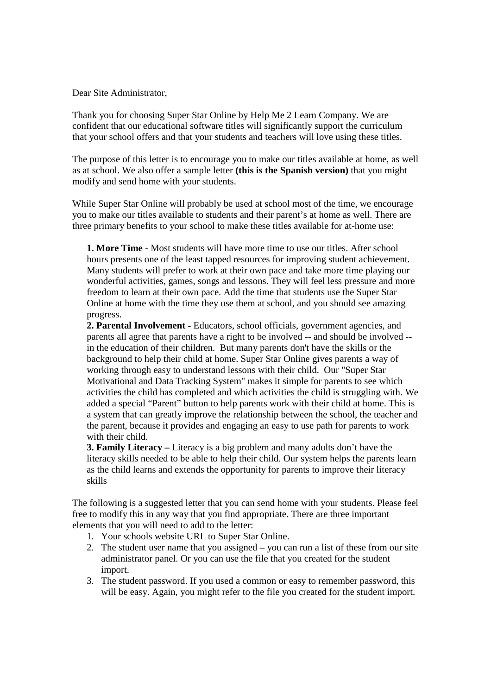Dear Site Administrator,

Thank you for choosing Super Star Online by Help Me 2 Learn Company. We are confident that our educational software titles will significantly support the curriculum that your school offers and that your students and teachers will love using these titles.

The purpose of this letter is to encourage you to make our titles available at home, as well as at school. We also offer a sample letter **(this is the Spanish version)** that you might modify and send home with your students.

While Super Star Online will probably be used at school most of the time, we encourage you to make our titles available to students and their parent's at home as well. There are three primary benefits to your school to make these titles available for at-home use:

**1. More Time -** Most students will have more time to use our titles. After school hours presents one of the least tapped resources for improving student achievement. Many students will prefer to work at their own pace and take more time playing our wonderful activities, games, songs and lessons. They will feel less pressure and more freedom to learn at their own pace. Add the time that students use the Super Star Online at home with the time they use them at school, and you should see amazing progress.

**2. Parental Involvement -** Educators, school officials, government agencies, and parents all agree that parents have a right to be involved -- and should be involved - in the education of their children. But many parents don't have the skills or the background to help their child at home. Super Star Online gives parents a way of working through easy to understand lessons with their child. Our "Super Star Motivational and Data Tracking System" makes it simple for parents to see which activities the child has completed and which activities the child is struggling with. We added a special "Parent" button to help parents work with their child at home. This is a system that can greatly improve the relationship between the school, the teacher and the parent, because it provides and engaging an easy to use path for parents to work with their child.

**3. Family Literacy –** Literacy is a big problem and many adults don't have the literacy skills needed to be able to help their child. Our system helps the parents learn as the child learns and extends the opportunity for parents to improve their literacy skills

The following is a suggested letter that you can send home with your students. Please feel free to modify this in any way that you find appropriate. There are three important elements that you will need to add to the letter:

- 1. Your schools website URL to Super Star Online.
- 2. The student user name that you assigned you can run a list of these from our site administrator panel. Or you can use the file that you created for the student import.
- 3. The student password. If you used a common or easy to remember password, this will be easy. Again, you might refer to the file you created for the student import.